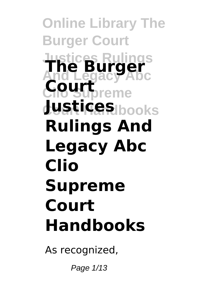# **Online Library The Burger Court Justices Rulings And Legacy Abc The Burger** Court<sub>preme</sub> **Court Handbooks Justices Rulings And Legacy Abc Clio Supreme Court Handbooks**

As recognized,

Page 1/13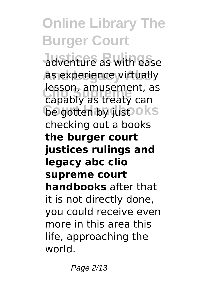adventure as with ease **as experience virtually lesson, amusement, as**<br>Canably as treaty can **Gegotten by just oks** capably as treaty can checking out a books **the burger court justices rulings and legacy abc clio supreme court handbooks** after that it is not directly done, you could receive even more in this area this life, approaching the world.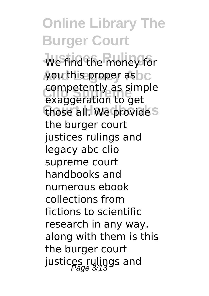**Online Library The Burger Court** We find the money for you this proper as c **Clio Supreme** exaggeration to get those all. We provide<sup>s</sup> competently as simple the burger court justices rulings and legacy abc clio supreme court handbooks and numerous ebook collections from fictions to scientific research in any way. along with them is this the burger court justices rulings and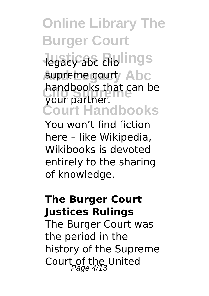**Jegacy abc cliolings** supreme court<sup>/</sup> Abc handbooks that can be<br>Vollt partner **Court Handbooks** your partner.

You won't find fiction here – like Wikipedia, Wikibooks is devoted entirely to the sharing of knowledge.

#### **The Burger Court Justices Rulings**

The Burger Court was the period in the history of the Supreme Court of the United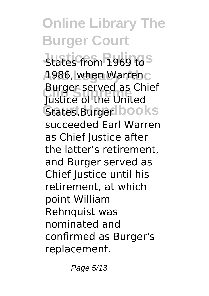**States from 1969 to S And Legacy Abc** 1986, when Warren **Clio Supreme** Justice of the United **States.BurgerIbooks** Burger served as Chief succeeded Earl Warren as Chief Justice after the latter's retirement, and Burger served as Chief Justice until his retirement, at which point William Rehnquist was nominated and confirmed as Burger's replacement.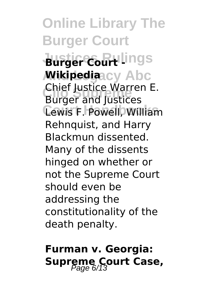**Online Library The Burger Court Burger Court Lings** *M***ikipedia<code>acy Abc</code> Chief Justice Waffer**<br>Burger and Justices Lewis F. Powell, William Chief Justice Warren E. Rehnquist, and Harry Blackmun dissented. Many of the dissents hinged on whether or not the Supreme Court should even be addressing the constitutionality of the death penalty.

### **Furman v. Georgia: Supreme Court Case,**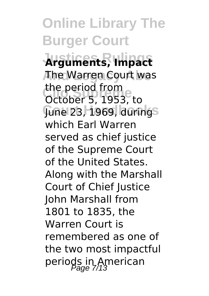**Justices Rulings Arguments, Impact And Legacy Abc** The Warren Court was **Clio Supreme** October 5, 1953, to **June 23, 1969, durings** the period from which Earl Warren served as chief justice of the Supreme Court of the United States. Along with the Marshall Court of Chief Iustice John Marshall from 1801 to 1835, the Warren Court is remembered as one of the two most impactful periods in American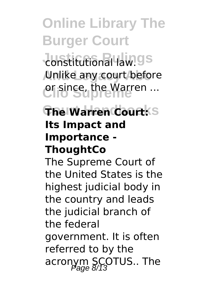**Justitutional law.gs And Legacy Abc** Unlike any court before **Clio Supreme** or since, the Warren ...

### **The Warren Court:** S **Its Impact and Importance - ThoughtCo**

The Supreme Court of the United States is the highest judicial body in the country and leads the judicial branch of the federal government. It is often referred to by the acronym SCOTUS.. The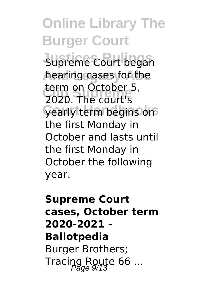Supreme Court began hearing cases for the **Clio Supreme** 2020. The court's **yearly term begins on** term on October 5, the first Monday in October and lasts until the first Monday in October the following year.

### **Supreme Court cases, October term 2020-2021 - Ballotpedia** Burger Brothers; Tracing Route 66 ...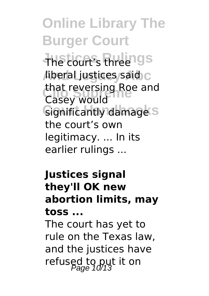**Online Library The Burger Court Justices Rulings** The court's three *Aiberal justices said* that reversing Roe and<br>Casey would Significantly damage<sup>S</sup> Casey would the court's own legitimacy. ... In its earlier rulings ...

#### **Justices signal they'll OK new abortion limits, may toss ...**

The court has yet to rule on the Texas law, and the justices have refused to put it on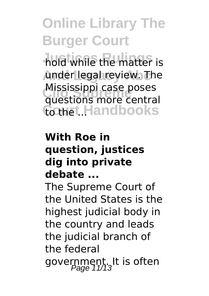hold while the matter is under legal review. The **MISSISSIPPI Case poses**<br>questions more central Court Handbooks Mississippi case poses

### **With Roe in question, justices dig into private debate ...**

The Supreme Court of the United States is the highest judicial body in the country and leads the judicial branch of the federal government. It is often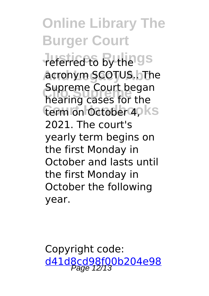**Justices Rulings** referred to by the **And Legacy Abc** acronym SCOTUS.. The **Clio Supreme** hearing cases for the term on October 4, Ks Supreme Court began 2021. The court's yearly term begins on the first Monday in October and lasts until the first Monday in October the following year.

Copyright code: [d41d8cd98f00b204e98](/sitemap.xml)